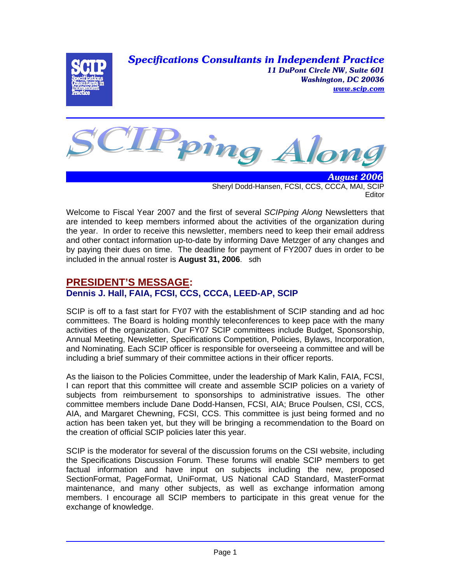*Specifications Consultants in Independent Practice 11 DuPont Circle NW, Suite 601 Washington, DC 20036 www.scip.com*





 *August 2006* Sheryl Dodd-Hansen, FCSI, CCS, CCCA, MAI, SCIP **Editor** 

Welcome to Fiscal Year 2007 and the first of several *SCIPping Along* Newsletters that are intended to keep members informed about the activities of the organization during the year. In order to receive this newsletter, members need to keep their email address and other contact information up-to-date by informing Dave Metzger of any changes and by paying their dues on time. The deadline for payment of FY2007 dues in order to be included in the annual roster is **August 31, 2006**. sdh

# **PRESIDENT'S MESSAGE:**

# **Dennis J. Hall, FAIA, FCSI, CCS, CCCA, LEED-AP, SCIP**

SCIP is off to a fast start for FY07 with the establishment of SCIP standing and ad hoc committees. The Board is holding monthly teleconferences to keep pace with the many activities of the organization. Our FY07 SCIP committees include Budget, Sponsorship, Annual Meeting, Newsletter, Specifications Competition, Policies, Bylaws, Incorporation, and Nominating. Each SCIP officer is responsible for overseeing a committee and will be including a brief summary of their committee actions in their officer reports.

As the liaison to the Policies Committee, under the leadership of Mark Kalin, FAIA, FCSI, I can report that this committee will create and assemble SCIP policies on a variety of subjects from reimbursement to sponsorships to administrative issues. The other committee members include Dane Dodd-Hansen, FCSI, AIA; Bruce Poulsen, CSI, CCS, AIA, and Margaret Chewning, FCSI, CCS. This committee is just being formed and no action has been taken yet, but they will be bringing a recommendation to the Board on the creation of official SCIP policies later this year.

SCIP is the moderator for several of the discussion forums on the CSI website, including the Specifications Discussion Forum. These forums will enable SCIP members to get factual information and have input on subjects including the new, proposed SectionFormat, PageFormat, UniFormat, US National CAD Standard, MasterFormat maintenance, and many other subjects, as well as exchange information among members. I encourage all SCIP members to participate in this great venue for the exchange of knowledge.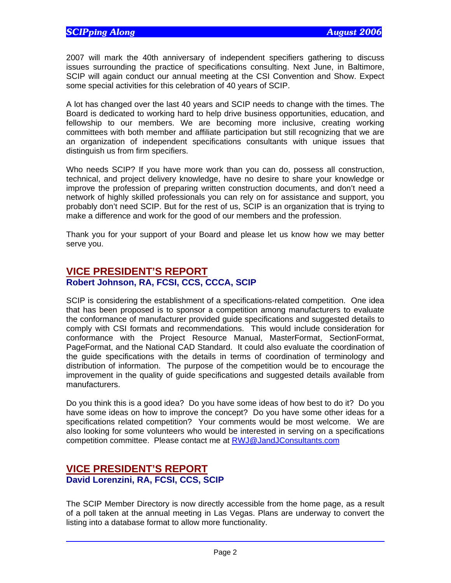2007 will mark the 40th anniversary of independent specifiers gathering to discuss issues surrounding the practice of specifications consulting. Next June, in Baltimore, SCIP will again conduct our annual meeting at the CSI Convention and Show. Expect some special activities for this celebration of 40 years of SCIP.

A lot has changed over the last 40 years and SCIP needs to change with the times. The Board is dedicated to working hard to help drive business opportunities, education, and fellowship to our members. We are becoming more inclusive, creating working committees with both member and affiliate participation but still recognizing that we are an organization of independent specifications consultants with unique issues that distinguish us from firm specifiers.

Who needs SCIP? If you have more work than you can do, possess all construction, technical, and project delivery knowledge, have no desire to share your knowledge or improve the profession of preparing written construction documents, and don't need a network of highly skilled professionals you can rely on for assistance and support, you probably don't need SCIP. But for the rest of us, SCIP is an organization that is trying to make a difference and work for the good of our members and the profession.

Thank you for your support of your Board and please let us know how we may better serve you.

# **VICE PRESIDENT'S REPORT Robert Johnson, RA, FCSI, CCS, CCCA, SCIP**

SCIP is considering the establishment of a specifications-related competition. One idea that has been proposed is to sponsor a competition among manufacturers to evaluate the conformance of manufacturer provided guide specifications and suggested details to comply with CSI formats and recommendations. This would include consideration for conformance with the Project Resource Manual, MasterFormat, SectionFormat, PageFormat, and the National CAD Standard. It could also evaluate the coordination of the guide specifications with the details in terms of coordination of terminology and distribution of information. The purpose of the competition would be to encourage the improvement in the quality of guide specifications and suggested details available from manufacturers.

Do you think this is a good idea? Do you have some ideas of how best to do it? Do you have some ideas on how to improve the concept? Do you have some other ideas for a specifications related competition? Your comments would be most welcome. We are also looking for some volunteers who would be interested in serving on a specifications competition committee. Please contact me at RWJ@JandJConsultants.com

#### **VICE PRESIDENT'S REPORT David Lorenzini, RA, FCSI, CCS, SCIP**

The SCIP Member Directory is now directly accessible from the home page, as a result of a poll taken at the annual meeting in Las Vegas. Plans are underway to convert the listing into a database format to allow more functionality.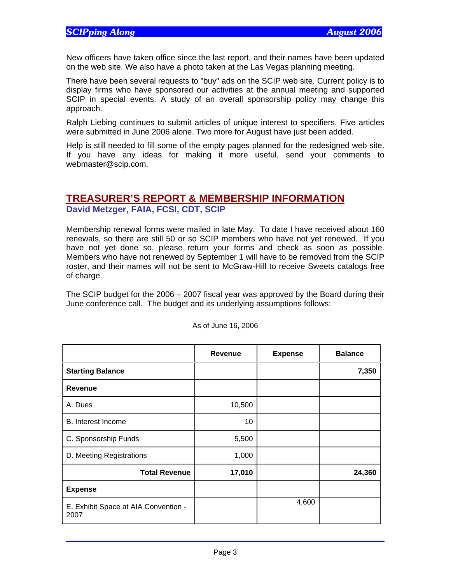New officers have taken office since the last report, and their names have been updated on the web site. We also have a photo taken at the Las Vegas planning meeting.

There have been several requests to "buy" ads on the SCIP web site. Current policy is to display firms who have sponsored our activities at the annual meeting and supported SCIP in special events. A study of an overall sponsorship policy may change this approach.

Ralph Liebing continues to submit articles of unique interest to specifiers. Five articles were submitted in June 2006 alone. Two more for August have just been added.

Help is still needed to fill some of the empty pages planned for the redesigned web site. If you have any ideas for making it more useful, send your comments to webmaster@scip.com.

### **TREASURER'S REPORT & MEMBERSHIP INFORMATION David Metzger, FAIA, FCSI, CDT, SCIP**

Membership renewal forms were mailed in late May. To date I have received about 160 renewals, so there are still 50 or so SCIP members who have not yet renewed. If you have not yet done so, please return your forms and check as soon as possible. Members who have not renewed by September 1 will have to be removed from the SCIP roster, and their names will not be sent to McGraw-Hill to receive Sweets catalogs free of charge.

The SCIP budget for the 2006 – 2007 fiscal year was approved by the Board during their June conference call. The budget and its underlying assumptions follows:

|                                              | Revenue | <b>Expense</b> | <b>Balance</b> |
|----------------------------------------------|---------|----------------|----------------|
| <b>Starting Balance</b>                      |         |                | 7,350          |
| <b>Revenue</b>                               |         |                |                |
| A. Dues                                      | 10,500  |                |                |
| <b>B.</b> Interest Income                    | 10      |                |                |
| C. Sponsorship Funds                         | 5,500   |                |                |
| D. Meeting Registrations                     | 1,000   |                |                |
| <b>Total Revenue</b>                         | 17,010  |                | 24,360         |
| <b>Expense</b>                               |         |                |                |
| E. Exhibit Space at AIA Convention -<br>2007 |         | 4,600          |                |

As of June 16, 2006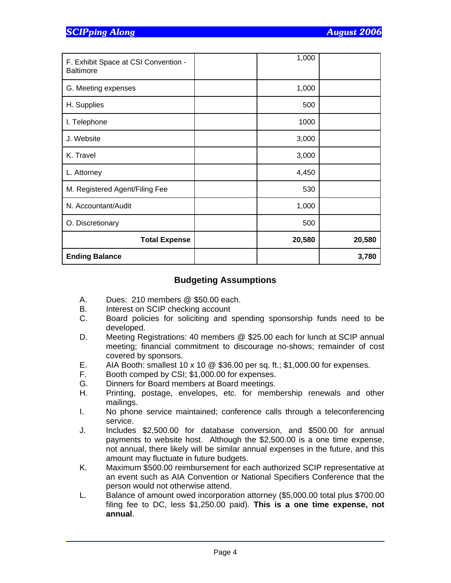| F. Exhibit Space at CSI Convention -<br><b>Baltimore</b> | 1,000  |        |
|----------------------------------------------------------|--------|--------|
| G. Meeting expenses                                      | 1,000  |        |
| H. Supplies                                              | 500    |        |
| I. Telephone                                             | 1000   |        |
| J. Website                                               | 3,000  |        |
| K. Travel                                                | 3,000  |        |
| L. Attorney                                              | 4,450  |        |
| M. Registered Agent/Filing Fee                           | 530    |        |
| N. Accountant/Audit                                      | 1,000  |        |
| O. Discretionary                                         | 500    |        |
| <b>Total Expense</b>                                     | 20,580 | 20,580 |
| <b>Ending Balance</b>                                    |        | 3,780  |

#### **Budgeting Assumptions**

- A. Dues: 210 members @ \$50.00 each.
- B. Interest on SCIP checking account
- C. Board policies for soliciting and spending sponsorship funds need to be developed.
- D. Meeting Registrations: 40 members @ \$25.00 each for lunch at SCIP annual meeting; financial commitment to discourage no-shows; remainder of cost covered by sponsors.
- E. AIA Booth: smallest 10 x 10 @ \$36.00 per sq. ft.; \$1,000.00 for expenses.
- F. Booth comped by CSI; \$1,000.00 for expenses.
- G. Dinners for Board members at Board meetings.
- H. Printing, postage, envelopes, etc. for membership renewals and other mailings.
- I. No phone service maintained; conference calls through a teleconferencing service.
- J. Includes \$2,500.00 for database conversion, and \$500.00 for annual payments to website host. Although the \$2,500.00 is a one time expense, not annual, there likely will be similar annual expenses in the future, and this amount may fluctuate in future budgets.
- K. Maximum \$500.00 reimbursement for each authorized SCIP representative at an event such as AIA Convention or National Specifiers Conference that the person would not otherwise attend.
- L. Balance of amount owed incorporation attorney (\$5,000.00 total plus \$700.00 filing fee to DC, less \$1,250.00 paid). **This is a one time expense, not annual**.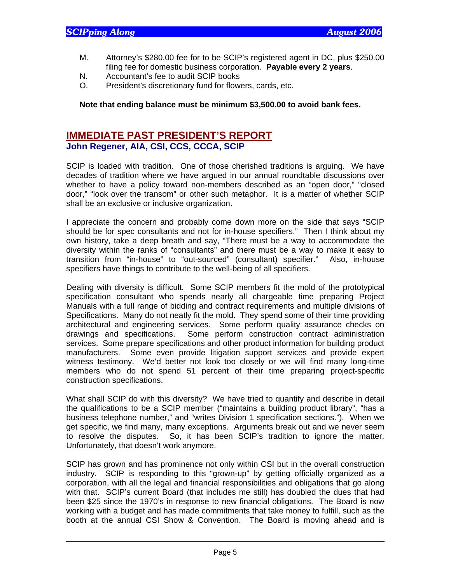- M. Attorney's \$280.00 fee for to be SCIP's registered agent in DC, plus \$250.00 filing fee for domestic business corporation. **Payable every 2 years**.
- N. Accountant's fee to audit SCIP books
- O. President's discretionary fund for flowers, cards, etc.

#### **Note that ending balance must be minimum \$3,500.00 to avoid bank fees.**

#### **IMMEDIATE PAST PRESIDENT'S REPORT John Regener, AIA, CSI, CCS, CCCA, SCIP**

SCIP is loaded with tradition. One of those cherished traditions is arguing. We have decades of tradition where we have argued in our annual roundtable discussions over whether to have a policy toward non-members described as an "open door," "closed door," "look over the transom" or other such metaphor. It is a matter of whether SCIP shall be an exclusive or inclusive organization.

I appreciate the concern and probably come down more on the side that says "SCIP should be for spec consultants and not for in-house specifiers." Then I think about my own history, take a deep breath and say, "There must be a way to accommodate the diversity within the ranks of "consultants" and there must be a way to make it easy to transition from "in-house" to "out-sourced" (consultant) specifier." Also, in-house specifiers have things to contribute to the well-being of all specifiers.

Dealing with diversity is difficult. Some SCIP members fit the mold of the prototypical specification consultant who spends nearly all chargeable time preparing Project Manuals with a full range of bidding and contract requirements and multiple divisions of Specifications. Many do not neatly fit the mold. They spend some of their time providing architectural and engineering services. Some perform quality assurance checks on drawings and specifications. Some perform construction contract administration services. Some prepare specifications and other product information for building product manufacturers. Some even provide litigation support services and provide expert witness testimony. We'd better not look too closely or we will find many long-time members who do not spend 51 percent of their time preparing project-specific construction specifications.

What shall SCIP do with this diversity? We have tried to quantify and describe in detail the qualifications to be a SCIP member ("maintains a building product library", "has a business telephone number," and "writes Division 1 specification sections."). When we get specific, we find many, many exceptions. Arguments break out and we never seem to resolve the disputes. So, it has been SCIP's tradition to ignore the matter. Unfortunately, that doesn't work anymore.

SCIP has grown and has prominence not only within CSI but in the overall construction industry. SCIP is responding to this "grown-up" by getting officially organized as a corporation, with all the legal and financial responsibilities and obligations that go along with that. SCIP's current Board (that includes me still) has doubled the dues that had been \$25 since the 1970's in response to new financial obligations. The Board is now working with a budget and has made commitments that take money to fulfill, such as the booth at the annual CSI Show & Convention. The Board is moving ahead and is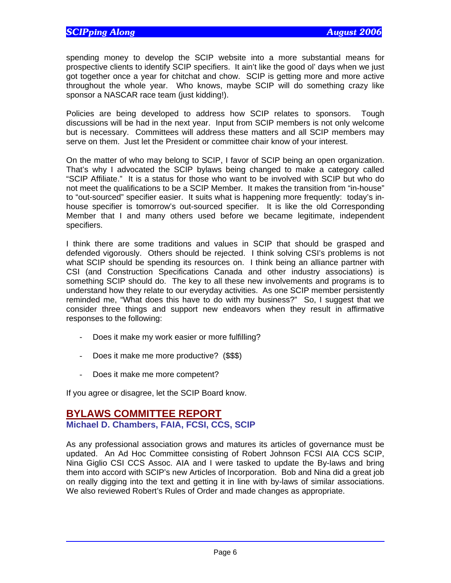spending money to develop the SCIP website into a more substantial means for prospective clients to identify SCIP specifiers. It ain't like the good ol' days when we just got together once a year for chitchat and chow. SCIP is getting more and more active throughout the whole year. Who knows, maybe SCIP will do something crazy like sponsor a NASCAR race team (just kidding!).

Policies are being developed to address how SCIP relates to sponsors. Tough discussions will be had in the next year. Input from SCIP members is not only welcome but is necessary. Committees will address these matters and all SCIP members may serve on them. Just let the President or committee chair know of your interest.

On the matter of who may belong to SCIP, I favor of SCIP being an open organization. That's why I advocated the SCIP bylaws being changed to make a category called "SCIP Affiliate." It is a status for those who want to be involved with SCIP but who do not meet the qualifications to be a SCIP Member. It makes the transition from "in-house" to "out-sourced" specifier easier. It suits what is happening more frequently: today's inhouse specifier is tomorrow's out-sourced specifier. It is like the old Corresponding Member that I and many others used before we became legitimate, independent specifiers.

I think there are some traditions and values in SCIP that should be grasped and defended vigorously. Others should be rejected. I think solving CSI's problems is not what SCIP should be spending its resources on. I think being an alliance partner with CSI (and Construction Specifications Canada and other industry associations) is something SCIP should do. The key to all these new involvements and programs is to understand how they relate to our everyday activities. As one SCIP member persistently reminded me, "What does this have to do with my business?" So, I suggest that we consider three things and support new endeavors when they result in affirmative responses to the following:

- Does it make my work easier or more fulfilling?
- Does it make me more productive? (\$\$\$)
- Does it make me more competent?

If you agree or disagree, let the SCIP Board know.

### **BYLAWS COMMITTEE REPORT Michael D. Chambers, FAIA, FCSI, CCS, SCIP**

As any professional association grows and matures its articles of governance must be updated. An Ad Hoc Committee consisting of Robert Johnson FCSI AIA CCS SCIP, Nina Giglio CSI CCS Assoc. AIA and I were tasked to update the By-laws and bring them into accord with SCIP's new Articles of Incorporation. Bob and Nina did a great job on really digging into the text and getting it in line with by-laws of similar associations. We also reviewed Robert's Rules of Order and made changes as appropriate.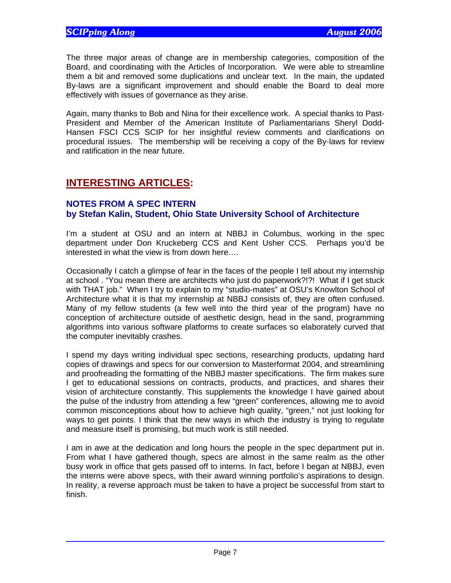The three major areas of change are in membership categories, composition of the Board, and coordinating with the Articles of Incorporation. We were able to streamline them a bit and removed some duplications and unclear text. In the main, the updated By-laws are a significant improvement and should enable the Board to deal more effectively with issues of governance as they arise.

Again, many thanks to Bob and Nina for their excellence work. A special thanks to Past-President and Member of the American Institute of Parliamentarians Sheryl Dodd-Hansen FSCI CCS SCIP for her insightful review comments and clarifications on procedural issues. The membership will be receiving a copy of the By-laws for review and ratification in the near future.

# **INTERESTING ARTICLES:**

#### **NOTES FROM A SPEC INTERN by Stefan Kalin, Student, Ohio State University School of Architecture**

I'm a student at OSU and an intern at NBBJ in Columbus, working in the spec department under Don Kruckeberg CCS and Kent Usher CCS. Perhaps you'd be interested in what the view is from down here….

Occasionally I catch a glimpse of fear in the faces of the people I tell about my internship at school . "You mean there are architects who just do paperwork?!?! What if I get stuck with THAT job." When I try to explain to my "studio-mates" at OSU's Knowlton School of Architecture what it is that my internship at NBBJ consists of, they are often confused. Many of my fellow students (a few well into the third year of the program) have no conception of architecture outside of aesthetic design, head in the sand, programming algorithms into various software platforms to create surfaces so elaborately curved that the computer inevitably crashes.

I spend my days writing individual spec sections, researching products, updating hard copies of drawings and specs for our conversion to Masterformat 2004, and streamlining and proofreading the formatting of the NBBJ master specifications. The firm makes sure I get to educational sessions on contracts, products, and practices, and shares their vision of architecture constantly. This supplements the knowledge I have gained about the pulse of the industry from attending a few "green" conferences, allowing me to avoid common misconceptions about how to achieve high quality, "green," not just looking for ways to get points. I think that the new ways in which the industry is trying to regulate and measure itself is promising, but much work is still needed.

I am in awe at the dedication and long hours the people in the spec department put in. From what I have gathered though, specs are almost in the same realm as the other busy work in office that gets passed off to interns. In fact, before I began at NBBJ, even the interns were above specs, with their award winning portfolio's aspirations to design. In reality, a reverse approach must be taken to have a project be successful from start to finish.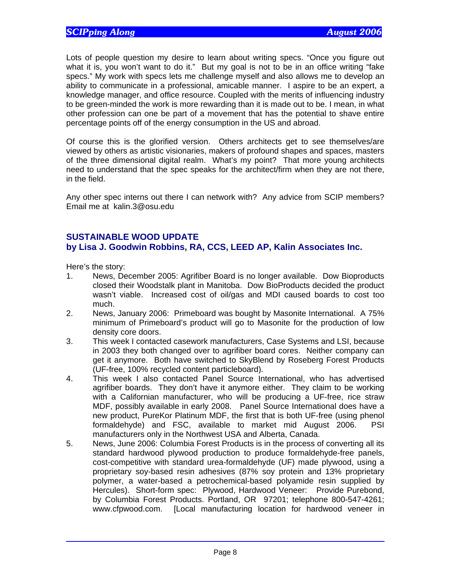Lots of people question my desire to learn about writing specs. "Once you figure out what it is, you won't want to do it." But my goal is not to be in an office writing "fake specs." My work with specs lets me challenge myself and also allows me to develop an ability to communicate in a professional, amicable manner. I aspire to be an expert, a knowledge manager, and office resource. Coupled with the merits of influencing industry to be green-minded the work is more rewarding than it is made out to be. I mean, in what other profession can one be part of a movement that has the potential to shave entire percentage points off of the energy consumption in the US and abroad.

Of course this is the glorified version. Others architects get to see themselves/are viewed by others as artistic visionaries, makers of profound shapes and spaces, masters of the three dimensional digital realm. What's my point? That more young architects need to understand that the spec speaks for the architect/firm when they are not there, in the field.

Any other spec interns out there I can network with? Any advice from SCIP members? Email me at kalin.3@osu.edu

### **SUSTAINABLE WOOD UPDATE**

#### **by Lisa J. Goodwin Robbins, RA, CCS, LEED AP, Kalin Associates Inc.**

Here's the story:

- 1. News, December 2005: Agrifiber Board is no longer available. Dow Bioproducts closed their Woodstalk plant in Manitoba. Dow BioProducts decided the product wasn't viable. Increased cost of oil/gas and MDI caused boards to cost too much.
- 2. News, January 2006: Primeboard was bought by Masonite International. A 75% minimum of Primeboard's product will go to Masonite for the production of low density core doors.
- 3. This week I contacted casework manufacturers, Case Systems and LSI, because in 2003 they both changed over to agrifiber board cores. Neither company can get it anymore. Both have switched to SkyBlend by Roseberg Forest Products (UF-free, 100% recycled content particleboard).
- 4. This week I also contacted Panel Source International, who has advertised agrifiber boards. They don't have it anymore either. They claim to be working with a Californian manufacturer, who will be producing a UF-free, rice straw MDF, possibly available in early 2008. Panel Source International does have a new product, PureKor Platinum MDF, the first that is both UF-free (using phenol formaldehyde) and FSC, available to market mid August 2006. PSI manufacturers only in the Northwest USA and Alberta, Canada.
- 5. News, June 2006: Columbia Forest Products is in the process of converting all its standard hardwood plywood production to produce formaldehyde-free panels, cost-competitive with standard urea-formaldehyde (UF) made plywood, using a proprietary soy-based resin adhesives (87% soy protein and 13% proprietary polymer, a water-based a petrochemical-based polyamide resin supplied by Hercules). Short-form spec: Plywood, Hardwood Veneer: Provide Purebond, by Columbia Forest Products. Portland, OR 97201; telephone 800-547-4261; www.cfpwood.com. [Local manufacturing location for hardwood veneer in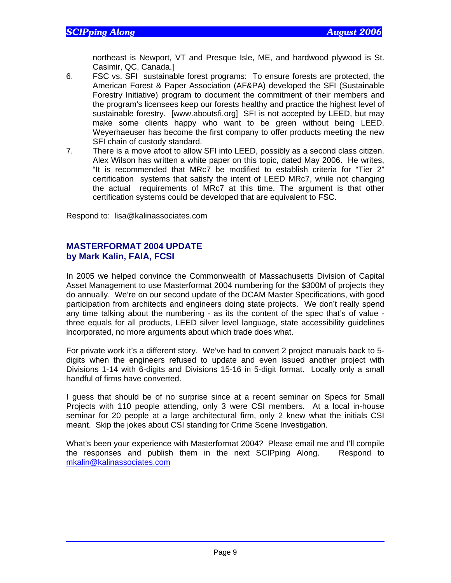northeast is Newport, VT and Presque Isle, ME, and hardwood plywood is St. Casimir, QC, Canada.]

- 6. FSC vs. SFI sustainable forest programs: To ensure forests are protected, the American Forest & Paper Association (AF&PA) developed the SFI (Sustainable Forestry Initiative) program to document the commitment of their members and the program's licensees keep our forests healthy and practice the highest level of sustainable forestry. [www.aboutsfi.org] SFI is not accepted by LEED, but may make some clients happy who want to be green without being LEED. Weyerhaeuser has become the first company to offer products meeting the new SFI chain of custody standard.
- 7. There is a move afoot to allow SFI into LEED, possibly as a second class citizen. Alex Wilson has written a white paper on this topic, dated May 2006. He writes, "It is recommended that MRc7 be modified to establish criteria for "Tier 2" certification systems that satisfy the intent of LEED MRc7, while not changing the actual requirements of MRc7 at this time. The argument is that other certification systems could be developed that are equivalent to FSC.

Respond to: lisa@kalinassociates.com

#### **MASTERFORMAT 2004 UPDATE by Mark Kalin, FAIA, FCSI**

In 2005 we helped convince the Commonwealth of Massachusetts Division of Capital Asset Management to use Masterformat 2004 numbering for the \$300M of projects they do annually. We're on our second update of the DCAM Master Specifications, with good participation from architects and engineers doing state projects. We don't really spend any time talking about the numbering - as its the content of the spec that's of value three equals for all products, LEED silver level language, state accessibility guidelines incorporated, no more arguments about which trade does what.

For private work it's a different story. We've had to convert 2 project manuals back to 5 digits when the engineers refused to update and even issued another project with Divisions 1-14 with 6-digits and Divisions 15-16 in 5-digit format. Locally only a small handful of firms have converted.

I guess that should be of no surprise since at a recent seminar on Specs for Small Projects with 110 people attending, only 3 were CSI members. At a local in-house seminar for 20 people at a large architectural firm, only 2 knew what the initials CSI meant. Skip the jokes about CSI standing for Crime Scene Investigation.

What's been your experience with Masterformat 2004? Please email me and I'll compile the responses and publish them in the next SCIPping Along. Respond to mkalin@kalinassociates.com